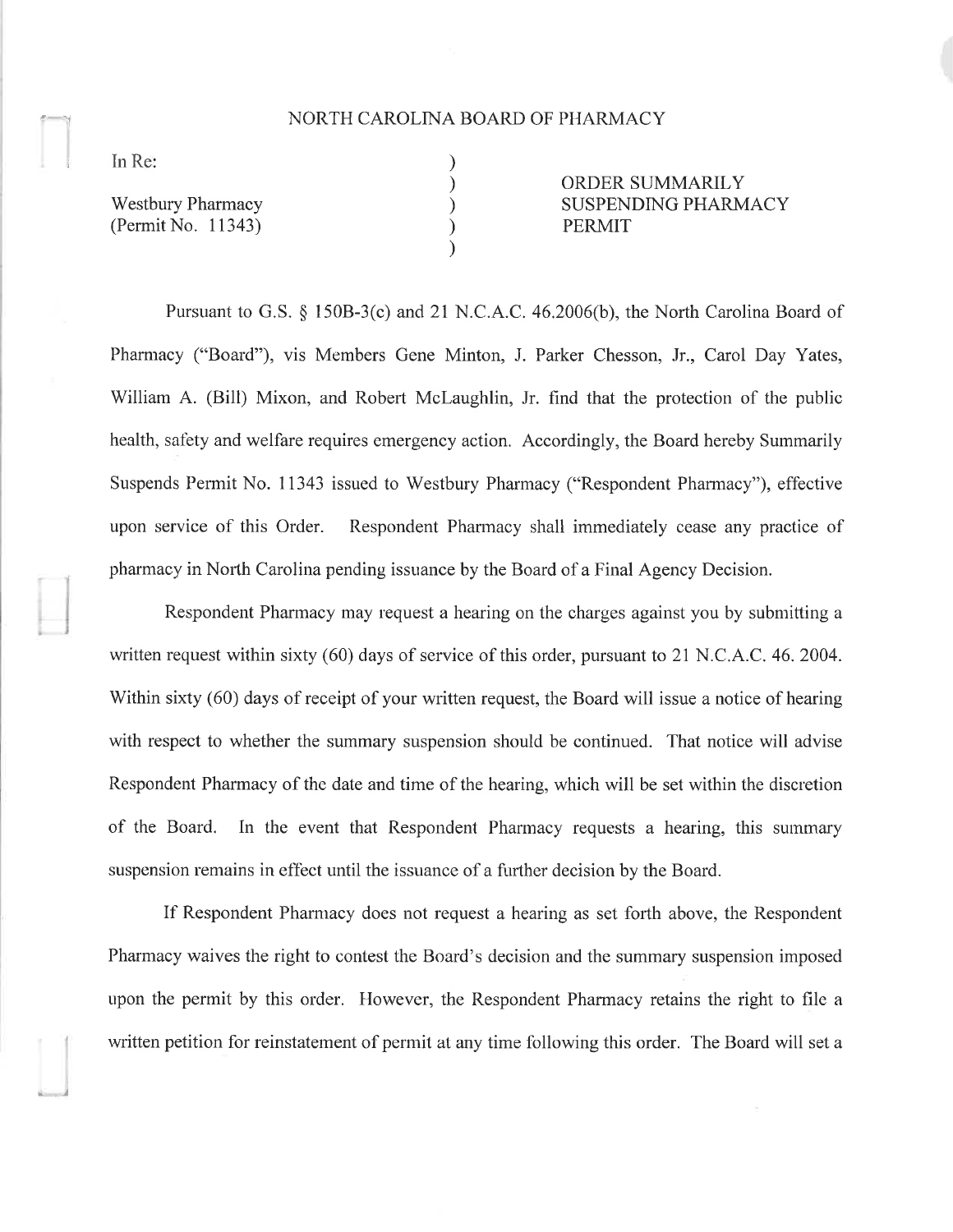## NORTH CAROLINA BOARD OF PHARMACY

) ) ) ) )

In Re:

 $\overline{\phantom{a}}$ 

- ,\_l

Westbury Pharmacy (Permit No. 11343) ORDER SUMMARILY SUSPENDING PHARMACY PERMIT

Pursuant to G.S.  $\S$  150B-3(c) and 21 N.C.A.C. 46.2006(b), the North Carolina Board of Phamracy ("Board"), vis Members Gene Minton, J. Parker Chesson, Jr., Carol Day Yates, William A. (Bill) Mixon, and Robert McLaughlin, Jr. find that the protection of the public health, safety and welfare requires emergency action. Accordingly, the Board hereby Summarily Suspends Permit No. 11343 issued to Westbury Pharmacy ("Respondent Pharmacy"), effective upon service of this Order. Respondent Pharmacy shall immediately cease any practice of pharmacy in Norlh Carolina pending issuance by the Board of a Final Agency Decision.

Respondent Pharmacy may request a hearing on the charges against you by submitting a written request within sixty (60) days of service of this order, pursuant to 21 N.C.A.C. 46, 2004. Within sixty (60) days of receipt of your written request, the Board will issue a notice of hearing with respect to whether the summary suspension should be continued. That notice will advise Respondent Pharmacy of the date and time of the hearing, which will be set within the discretion of the Board. In the event that Respondent Pharmacy requests a hearing, this summary suspension remains in effect until the issuance of a further decision by the Board.

If Respondent Pharmacy does not request a hearing as set forth above, the Respondent Pharmacy waives the right to contest the Board's decision and the summary suspension imposed upon the permit by this order. However, the Respondent Pharmacy retains the right to file <sup>a</sup> written petition for reinstatement of permit at any time following this order. The Board will set a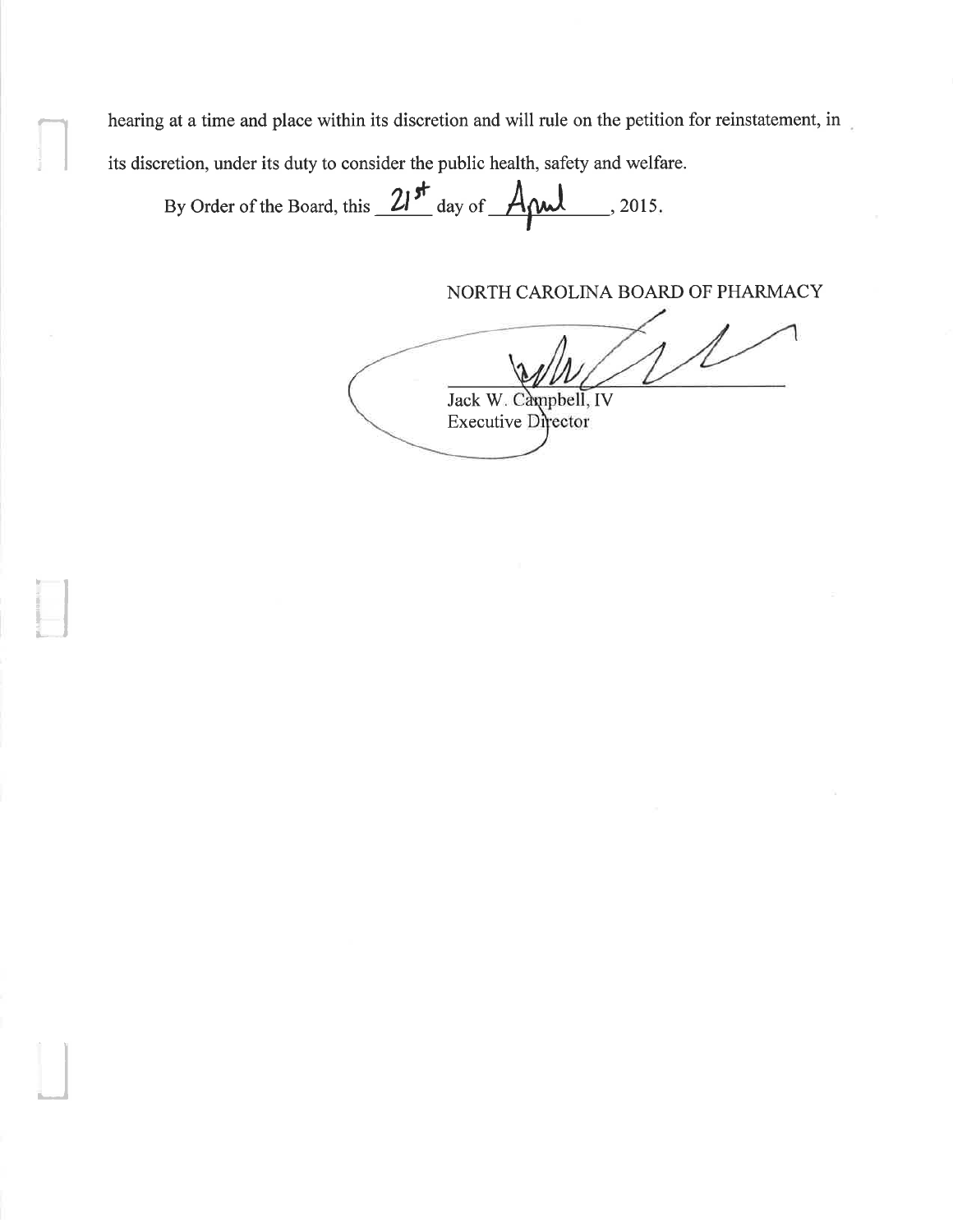hearing at a time and place within its discretion and will rule on the petition for reinstatement, in its discretion, under its duty to consider the public health, safety and welfare.

By Order of the Board, this 21<sup>st</sup> day of Apul, 2015.

NORTH CAROLINA BOARD OF PHARMACY

Jack W. Campbell, IV **Executive Director**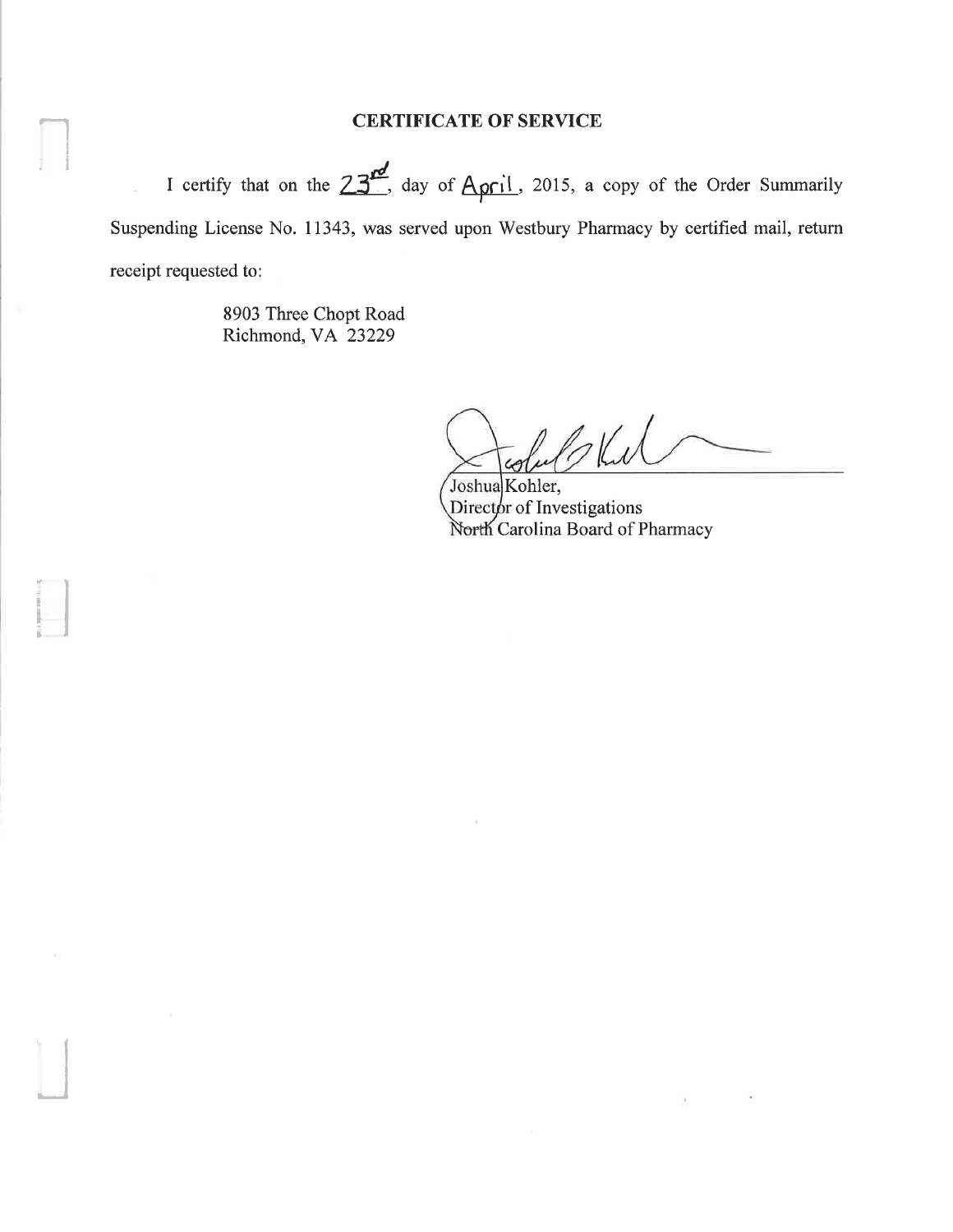## CERTIFICATE OF SERVICE

I certify that on the  $23^{rd}$ , day of April, 2015, a copy of the Order Summarily Suspending License No. 11343, was served upon Westbury Pharmacy by certified mail, return receipt requested to:

> 8903 Three Chopt Road Richmond, VA 23229

I

íl

-J

blul

Joshua Kohler, Director of Investigations Carolina Board of Pharmacy